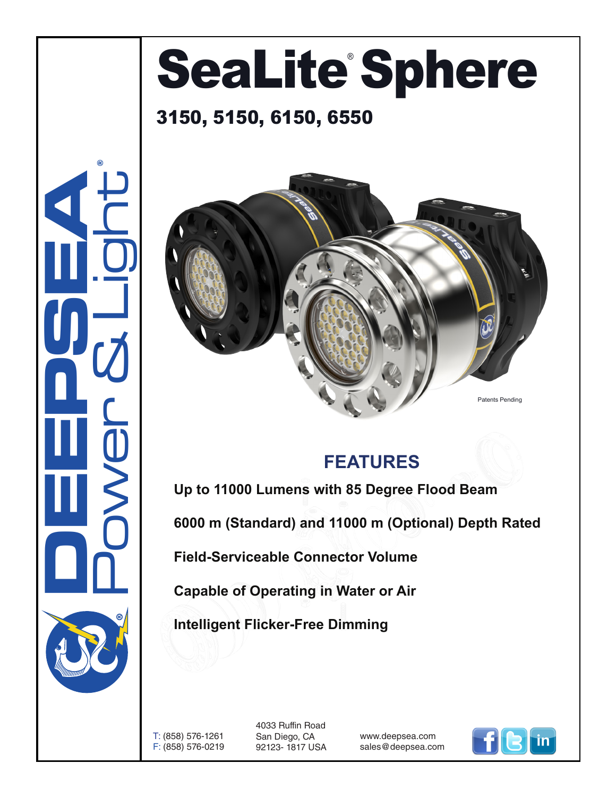## SeaLite Sphere

## 3150, 5150, 6150, 6550



®



## **FEATURES**

**Up to 11000 Lumens with 85 Degree Flood Beam**

**6000 m (Standard) and 11000 m (Optional) Depth Rated**

**Field-Serviceable Connector Volume**

**Capable of Operating in Water or Air**

**Intelligent Flicker-Free Dimming**

T: (858) 576-1261 F: (858) 576-0219

4033 Ruffin Road San Diego, CA 92123- 1817 USA

www.deepsea.com sales@deepsea.com